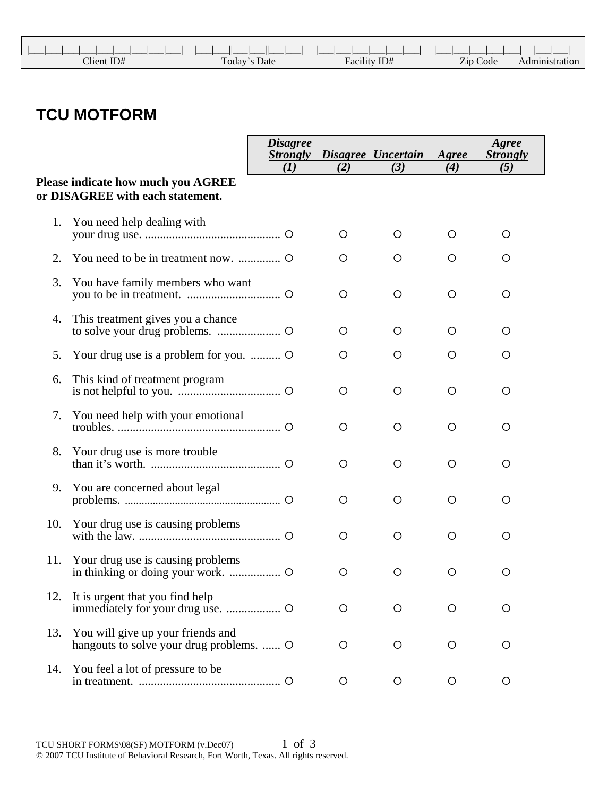| .             |              |              |          |                |
|---------------|--------------|--------------|----------|----------------|
| $C$ lient ID# | Today's Date | Facility ID# | Zip Code | Administration |

## **TCU MOTFORM**

|     |                                                                               | <b>Disagree</b><br><b>Strongly</b> |         | Disagree Uncertain | Agree   | Agree<br><b>Strongly</b> |
|-----|-------------------------------------------------------------------------------|------------------------------------|---------|--------------------|---------|--------------------------|
|     | Please indicate how much you AGREE                                            | (I)                                | (2)     | (3)                | (4)     | (5)                      |
|     | or DISAGREE with each statement.                                              |                                    |         |                    |         |                          |
| 1.  | You need help dealing with                                                    |                                    | O       | O                  | O       | Ő                        |
| 2.  |                                                                               |                                    | O       | O                  | O       | O                        |
| 3.  | You have family members who want                                              |                                    | O       | O                  | O       | O                        |
| 4.  | This treatment gives you a chance                                             |                                    | O       | O                  | O       | O                        |
| 5.  | Your drug use is a problem for you.                                           |                                    | O       | O                  | O       | O                        |
| 6.  | This kind of treatment program                                                |                                    | O       | O                  | O       | O                        |
| 7.  |                                                                               |                                    | O       | O                  | O       | O                        |
| 8.  | Your drug use is more trouble                                                 |                                    | O       | O                  | O       | O                        |
| 9.  | You are concerned about legal                                                 |                                    | O       | O                  | O       | O                        |
| 10. |                                                                               |                                    | O       | O                  | O       | O                        |
| 11. | Your drug use is causing problems                                             |                                    | O       | O                  | O       | O                        |
| 12. | It is urgent that you find help                                               |                                    | O       | O                  | O       | O                        |
| 13. | You will give up your friends and<br>hangouts to solve your drug problems.  O |                                    | $\circ$ | O                  | $\circ$ | O                        |
| 14. | You feel a lot of pressure to be                                              |                                    | O       | O                  | O       | O                        |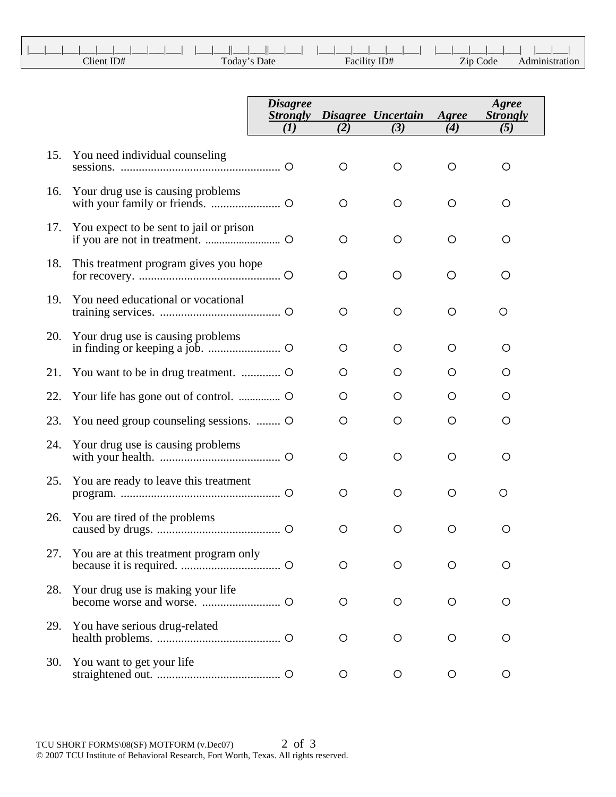| Client ID# | Today's Date | Facility.<br>ID# | Zip Code |  |
|------------|--------------|------------------|----------|--|

|     |                                         | <b>Disagree</b><br><b>Strongly</b><br>(I) | (2)     | Disagree Uncertain<br>(3) | Agree<br>(4) | Agree<br><b>Strongly</b><br>(5) |
|-----|-----------------------------------------|-------------------------------------------|---------|---------------------------|--------------|---------------------------------|
| 15. | You need individual counseling          |                                           | O       | O                         | $\circ$      | O                               |
| 16. | Your drug use is causing problems       |                                           | O       | $\circ$                   | $\circ$      | O                               |
| 17. | You expect to be sent to jail or prison |                                           | O       | $\circ$                   | $\circ$      | O                               |
| 18. | This treatment program gives you hope   |                                           | O       | O                         | O            | O                               |
| 19. | You need educational or vocational      |                                           | O       | $\circ$                   | $\circ$      | O                               |
| 20. | Your drug use is causing problems       |                                           | $\circ$ | O                         | O            | O                               |
| 21. |                                         |                                           | O       | O                         | O            | O                               |
| 22. | Your life has gone out of control.  O   |                                           | O       | O                         | O            | O                               |
| 23. | You need group counseling sessions.     |                                           | $\circ$ | $\circ$                   | O            | O                               |
| 24. | Your drug use is causing problems       |                                           | O       | O                         | O            | O                               |
| 25. | You are ready to leave this treatment   |                                           | O       | O                         | O            | O                               |
| 26. | You are tired of the problems           |                                           | O       | O                         | O            | О                               |
| 27. | You are at this treatment program only  |                                           | O       | O                         | O            | O                               |
| 28. | Your drug use is making your life       |                                           | $\circ$ | $\circ$                   | $\circ$      | O                               |
| 29. | You have serious drug-related           |                                           | O       | O                         | O            | O                               |
| 30. | You want to get your life               |                                           | O       | $\circ$                   | $\circ$      | O                               |